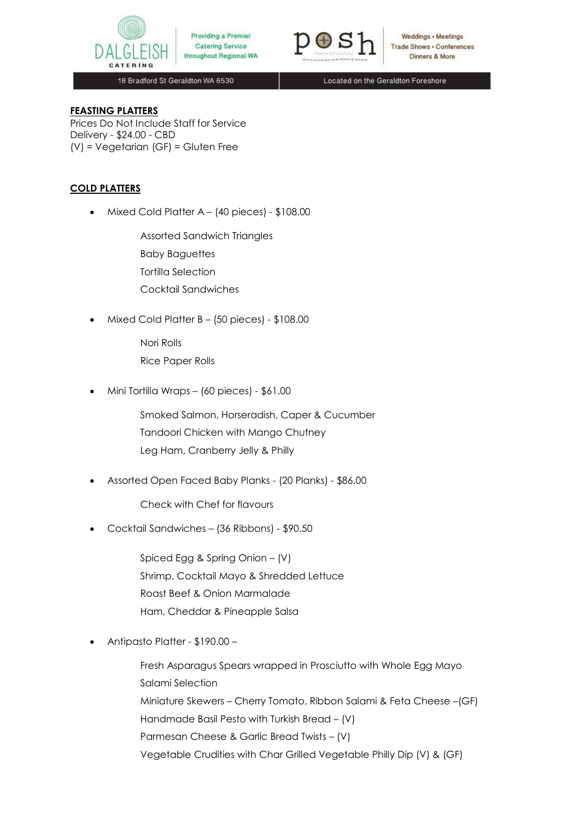

Providing a Premier **Catering Service** throughout Regional WA



Weddings • Meetings **Trade Shows . Conferences** Dinners & More

18 Bradford St Geraldton WA 6530

Located on the Geraldton Foreshore

## **FEASTING PLATTERS**

Prices Do Not Include Staff for Service Delivery - \$24.00 - CBD (V) = Vegetarian (GF) = Gluten Free

## **COLD PLATTERS**

Mixed Cold Platter A – (40 pieces) - \$108.00

Assorted Sandwich Triangles

Baby Baguettes

Tortilla Selection

Cocktail Sandwiches

Mixed Cold Platter B – (50 pieces) - \$108.00

Nori Rolls Rice Paper Rolls

Mini Tortilla Wraps – (60 pieces) - \$61.00

Smoked Salmon, Horseradish, Caper & Cucumber Tandoori Chicken with Mango Chutney Leg Ham, Cranberry Jelly & Philly

Assorted Open Faced Baby Planks - (20 Planks) - \$86.00

Check with Chef for flavours

Cocktail Sandwiches – (36 Ribbons) - \$90.50

Spiced Egg & Spring Onion – (V) Shrimp, Cocktail Mayo & Shredded Lettuce Roast Beef & Onion Marmalade Ham, Cheddar & Pineapple Salsa

Antipasto Platter - \$190.00 –

Fresh Asparagus Spears wrapped in Prosciutto with Whole Egg Mayo Salami Selection Miniature Skewers – Cherry Tomato, Ribbon Salami & Feta Cheese –(GF) Handmade Basil Pesto with Turkish Bread – (V) Parmesan Cheese & Garlic Bread Twists – (V) Vegetable Crudities with Char Grilled Vegetable Philly Dip (V) & (GF)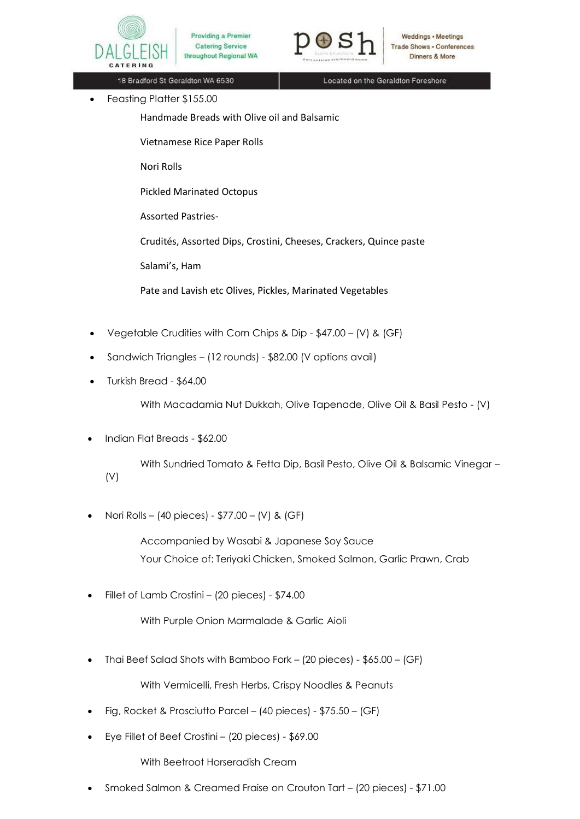

Providing a Premier **Catering Service** throughout Regional WA



Weddings • Meetings **Trade Shows · Conferences Dinners & More** 

18 Bradford St Geraldton WA 6530

Located on the Geraldton Foreshore

Feasting Platter \$155.00

Handmade Breads with Olive oil and Balsamic

Vietnamese Rice Paper Rolls

Nori Rolls

Pickled Marinated Octopus

Assorted Pastries-

Crudités, Assorted Dips, Crostini, Cheeses, Crackers, Quince paste

Salami's, Ham

Pate and Lavish etc Olives, Pickles, Marinated Vegetables

- Vegetable Crudities with Corn Chips & Dip \$47.00 (V) & (GF)
- Sandwich Triangles (12 rounds) \$82.00 (V options avail)
- Turkish Bread \$64.00

With Macadamia Nut Dukkah, Olive Tapenade, Olive Oil & Basil Pesto - (V)

Indian Flat Breads - \$62.00

With Sundried Tomato & Fetta Dip, Basil Pesto, Olive Oil & Balsamic Vinegar – (V)

Nori Rolls – (40 pieces) - \$77.00 – (V) & (GF)

Accompanied by Wasabi & Japanese Soy Sauce Your Choice of: Teriyaki Chicken, Smoked Salmon, Garlic Prawn, Crab

Fillet of Lamb Crostini – (20 pieces) - \$74.00

With Purple Onion Marmalade & Garlic Aioli

Thai Beef Salad Shots with Bamboo Fork – (20 pieces) - \$65.00 – (GF)

With Vermicelli, Fresh Herbs, Crispy Noodles & Peanuts

- Fig, Rocket & Prosciutto Parcel (40 pieces) \$75.50 (GF)
- Eye Fillet of Beef Crostini (20 pieces) \$69.00

With Beetroot Horseradish Cream

Smoked Salmon & Creamed Fraise on Crouton Tart – (20 pieces) - \$71.00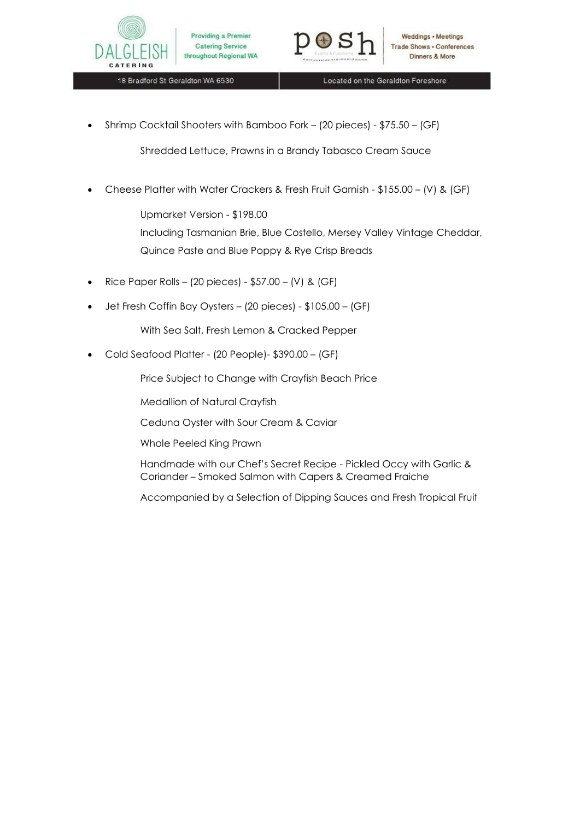



18 Bradford St Geraldton WA 6530

Located on the Geraldton Foreshore

Shrimp Cocktail Shooters with Bamboo Fork – (20 pieces) - \$75.50 – (GF)

Shredded Lettuce, Prawns in a Brandy Tabasco Cream Sauce

Cheese Platter with Water Crackers & Fresh Fruit Garnish - \$155.00 – (V) & (GF)

Upmarket Version - \$198.00

Including Tasmanian Brie, Blue Costello, Mersey Valley Vintage Cheddar, Quince Paste and Blue Poppy & Rye Crisp Breads

- Rice Paper Rolls (20 pieces) \$57.00 (V) & (GF)
- Jet Fresh Coffin Bay Oysters (20 pieces) \$105.00 (GF)

With Sea Salt, Fresh Lemon & Cracked Pepper

Cold Seafood Platter - (20 People)- \$390.00 – (GF)

Price Subject to Change with Crayfish Beach Price

Medallion of Natural Crayfish

Ceduna Oyster with Sour Cream & Caviar

Whole Peeled King Prawn

Handmade with our Chef's Secret Recipe - Pickled Occy with Garlic & Coriander – Smoked Salmon with Capers & Creamed Fraiche

Accompanied by a Selection of Dipping Sauces and Fresh Tropical Fruit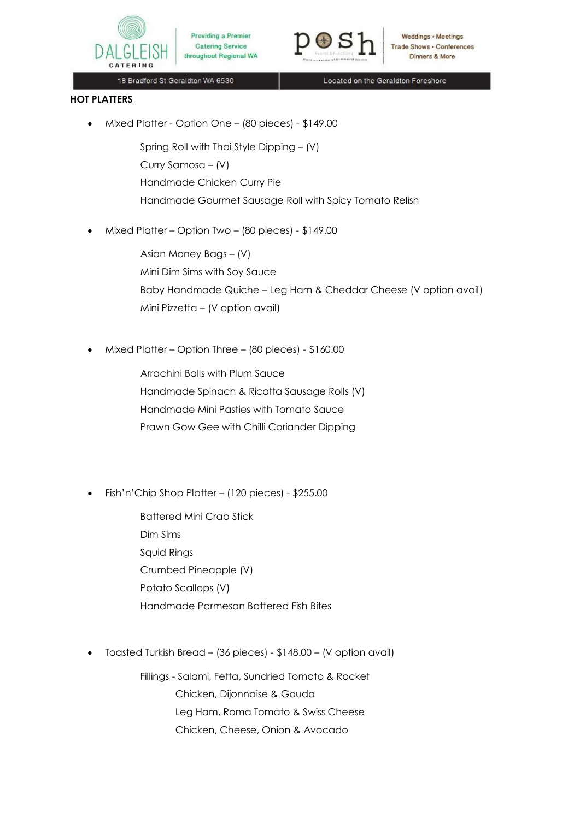

Weddings • Meetings **Trade Shows . Conferences** Dinners & More

18 Bradford St Geraldton WA 6530

Located on the Geraldton Foreshore

## **HOT PLATTERS**

Mixed Platter - Option One – (80 pieces) - \$149.00

**Catering Service** 

- Spring Roll with Thai Style Dipping (V) Curry Samosa – (V) Handmade Chicken Curry Pie Handmade Gourmet Sausage Roll with Spicy Tomato Relish
- Mixed Platter Option Two (80 pieces) \$149.00

Asian Money Bags – (V) Mini Dim Sims with Soy Sauce Baby Handmade Quiche – Leg Ham & Cheddar Cheese (V option avail) Mini Pizzetta – (V option avail)

Mixed Platter – Option Three – (80 pieces) - \$160.00

Arrachini Balls with Plum Sauce Handmade Spinach & Ricotta Sausage Rolls (V) Handmade Mini Pasties with Tomato Sauce Prawn Gow Gee with Chilli Coriander Dipping

Fish'n'Chip Shop Platter – (120 pieces) - \$255.00

Battered Mini Crab Stick Dim Sims Squid Rings Crumbed Pineapple (V) Potato Scallops (V) Handmade Parmesan Battered Fish Bites

Toasted Turkish Bread – (36 pieces) - \$148.00 – (V option avail)

Fillings - Salami, Fetta, Sundried Tomato & Rocket Chicken, Dijonnaise & Gouda Leg Ham, Roma Tomato & Swiss Cheese Chicken, Cheese, Onion & Avocado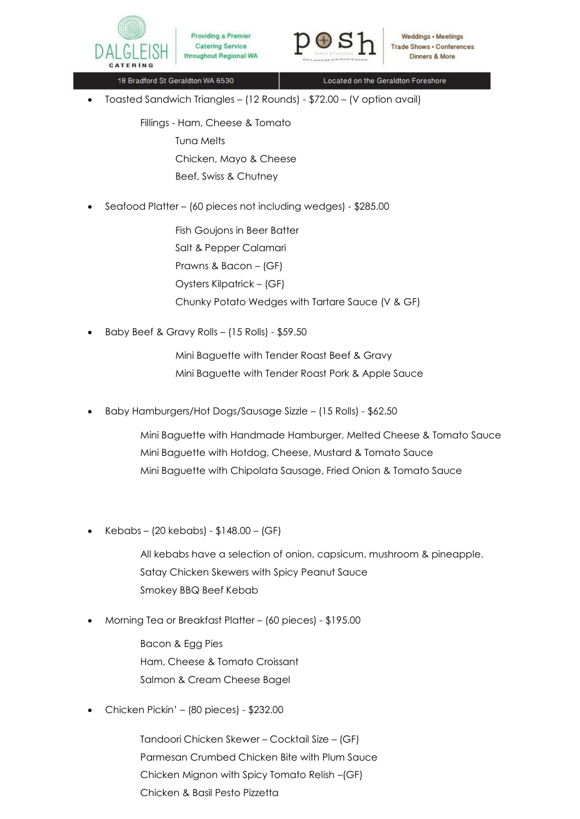



18 Bradford St Geraldton WA 6530

Located on the Geraldton Foreshore

Toasted Sandwich Triangles – (12 Rounds) - \$72.00 – (V option avail)

Fillings - Ham, Cheese & Tomato Tuna Melts Chicken, Mayo & Cheese Beef, Swiss & Chutney

• Seafood Platter – (60 pieces not including wedges) - \$285.00

Fish Goujons in Beer Batter Salt & Pepper Calamari Prawns & Bacon – (GF) Oysters Kilpatrick – (GF) Chunky Potato Wedges with Tartare Sauce (V & GF)

Baby Beef & Gravy Rolls – (15 Rolls) - \$59.50

Mini Baguette with Tender Roast Beef & Gravy Mini Baguette with Tender Roast Pork & Apple Sauce

Baby Hamburgers/Hot Dogs/Sausage Sizzle – (15 Rolls) - \$62.50

Mini Baguette with Handmade Hamburger, Melted Cheese & Tomato Sauce Mini Baguette with Hotdog, Cheese, Mustard & Tomato Sauce Mini Baguette with Chipolata Sausage, Fried Onion & Tomato Sauce

Kebabs – (20 kebabs) - \$148.00 – (GF)

All kebabs have a selection of onion, capsicum, mushroom & pineapple. Satay Chicken Skewers with Spicy Peanut Sauce Smokey BBQ Beef Kebab

Morning Tea or Breakfast Platter – (60 pieces) - \$195.00

Bacon & Egg Pies Ham, Cheese & Tomato Croissant Salmon & Cream Cheese Bagel

Chicken Pickin' – (80 pieces) - \$232.00

Tandoori Chicken Skewer – Cocktail Size – (GF) Parmesan Crumbed Chicken Bite with Plum Sauce Chicken Mignon with Spicy Tomato Relish –(GF) Chicken & Basil Pesto Pizzetta